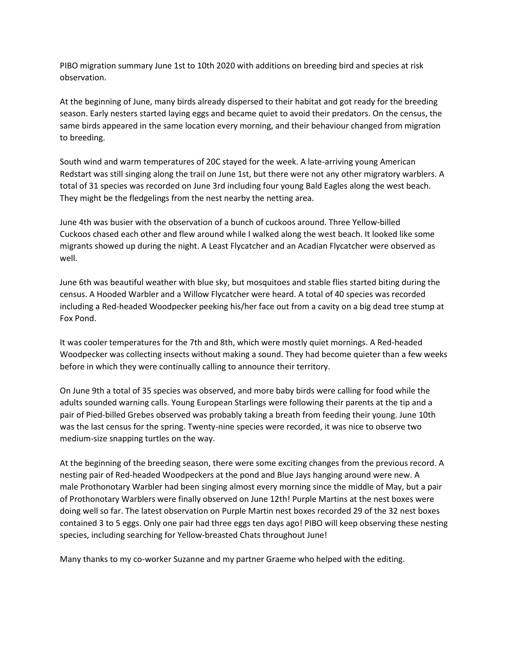PIBO migration summary June 1st to 10th 2020 with additions on breeding bird and species at risk observation.

At the beginning of June, many birds already dispersed to their habitat and got ready for the breeding season. Early nesters started laying eggs and became quiet to avoid their predators. On the census, the same birds appeared in the same location every morning, and their behaviour changed from migration to breeding.

South wind and warm temperatures of 20C stayed for the week. A late-arriving young American Redstart was still singing along the trail on June 1st, but there were not any other migratory warblers. A total of 31 species was recorded on June 3rd including four young Bald Eagles along the west beach. They might be the fledgelings from the nest nearby the netting area.

June 4th was busier with the observation of a bunch of cuckoos around. Three Yellow-billed Cuckoos chased each other and flew around while I walked along the west beach. It looked like some migrants showed up during the night. A Least Flycatcher and an Acadian Flycatcher were observed as well.

June 6th was beautiful weather with blue sky, but mosquitoes and stable flies started biting during the census. A Hooded Warbler and a Willow Flycatcher were heard. A total of 40 species was recorded including a Red-headed Woodpecker peeking his/her face out from a cavity on a big dead tree stump at Fox Pond.

It was cooler temperatures for the 7th and 8th, which were mostly quiet mornings. A Red-headed Woodpecker was collecting insects without making a sound. They had become quieter than a few weeks before in which they were continually calling to announce their territory.

On June 9th a total of 35 species was observed, and more baby birds were calling for food while the adults sounded warning calls. Young European Starlings were following their parents at the tip and a pair of Pied-billed Grebes observed was probably taking a breath from feeding their young. June 10th was the last census for the spring. Twenty-nine species were recorded, it was nice to observe two medium-size snapping turtles on the way.

At the beginning of the breeding season, there were some exciting changes from the previous record. A nesting pair of Red-headed Woodpeckers at the pond and Blue Jays hanging around were new. A male Prothonotary Warbler had been singing almost every morning since the middle of May, but a pair of Prothonotary Warblers were finally observed on June 12th! Purple Martins at the nest boxes were doing well so far. The latest observation on Purple Martin nest boxes recorded 29 of the 32 nest boxes contained 3 to 5 eggs. Only one pair had three eggs ten days ago! PIBO will keep observing these nesting species, including searching for Yellow-breasted Chats throughout June!

Many thanks to my co-worker Suzanne and my partner Graeme who helped with the editing.